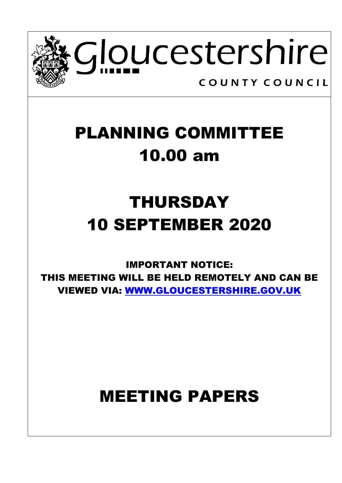

## PLANNING COMMITTEE 10.00 am

# THURSDAY 10 SEPTEMBER 2020

IMPORTANT NOTICE: THIS MEETING WILL BE HELD REMOTELY AND CAN BE VIEWED VIA: [WWW.GLOUCESTERSHIRE.GOV.UK](http://www.gloucestershire.gov.uk/)

### MEETING PAPERS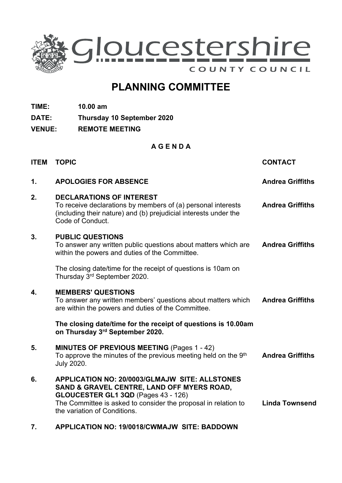

### **PLANNING COMMITTEE**

**TIME: 10.00 am**

**DATE: Thursday 10 September 2020**

**VENUE: REMOTE MEETING**

#### **A G E N D A**

| <b>ITEM</b> | <b>TOPIC</b>                                                                                                                                                                                                                          | <b>CONTACT</b>          |
|-------------|---------------------------------------------------------------------------------------------------------------------------------------------------------------------------------------------------------------------------------------|-------------------------|
| 1.          | <b>APOLOGIES FOR ABSENCE</b>                                                                                                                                                                                                          | <b>Andrea Griffiths</b> |
| 2.          | <b>DECLARATIONS OF INTEREST</b><br>To receive declarations by members of (a) personal interests<br>(including their nature) and (b) prejudicial interests under the<br>Code of Conduct.                                               | <b>Andrea Griffiths</b> |
| 3.          | <b>PUBLIC QUESTIONS</b><br>To answer any written public questions about matters which are<br>within the powers and duties of the Committee.                                                                                           | <b>Andrea Griffiths</b> |
|             | The closing date/time for the receipt of questions is 10am on<br>Thursday 3rd September 2020.                                                                                                                                         |                         |
| 4.          | <b>MEMBERS' QUESTIONS</b><br>To answer any written members' questions about matters which<br>are within the powers and duties of the Committee.                                                                                       | <b>Andrea Griffiths</b> |
|             | The closing date/time for the receipt of questions is 10.00am<br>on Thursday 3rd September 2020.                                                                                                                                      |                         |
| 5.          | MINUTES OF PREVIOUS MEETING (Pages 1 - 42)<br>To approve the minutes of the previous meeting held on the 9 <sup>th</sup><br><b>July 2020.</b>                                                                                         | <b>Andrea Griffiths</b> |
| 6.          | APPLICATION NO: 20/0003/GLMAJW SITE: ALLSTONES<br>SAND & GRAVEL CENTRE, LAND OFF MYERS ROAD,<br>GLOUCESTER GL1 3QD (Pages 43 - 126)<br>The Committee is asked to consider the proposal in relation to<br>the variation of Conditions. | <b>Linda Townsend</b>   |

**7. APPLICATION NO: 19/0018/CWMAJW SITE: BADDOWN**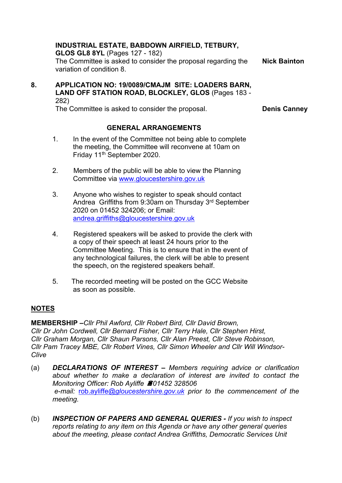#### **INDUSTRIAL ESTATE, BABDOWN AIRFIELD, TETBURY,**

**GLOS GL8 8YL** (Pages 127 - 182)

The Committee is asked to consider the proposal regarding the variation of condition 8. **Nick Bainton**

**8. APPLICATION NO: 19/0089/CMAJM SITE: LOADERS BARN, LAND OFF STATION ROAD, BLOCKLEY, GLOS** (Pages 183 - 282)

The Committee is asked to consider the proposal. **Denis Canney**

#### **GENERAL ARRANGEMENTS**

- 1. In the event of the Committee not being able to complete the meeting, the Committee will reconvene at 10am on Friday 11th September 2020.
- 2. Members of the public will be able to view the Planning Committee via [www.gloucestershire.gov.uk](http://www.gloucestershire.gov.uk/)
- 3. Anyone who wishes to register to speak should contact Andrea Griffiths from 9:30am on Thursday 3 rd September 2020 on 01452 324206; or Email: [andrea.griffiths@gloucestershire.gov.uk](mailto:andrea.griffiths@gloucestershire.gov.uk)
- 4. Registered speakers will be asked to provide the clerk with a copy of their speech at least 24 hours prior to the Committee Meeting. This is to ensure that in the event of any technological failures, the clerk will be able to present the speech, on the registered speakers behalf.
- 5. The recorded meeting will be posted on the GCC Website as soon as possible.

#### **NOTES**

**MEMBERSHIP –***Cllr Phil Awford, Cllr Robert Bird, Cllr David Brown, Cllr Dr John Cordwell, Cllr Bernard Fisher, Cllr Terry Hale, Cllr Stephen Hirst, Cllr Graham Morgan, Cllr Shaun Parsons, Cllr Alan Preest, Cllr Steve Robinson, Cllr Pam Tracey MBE, Cllr Robert Vines, Cllr Simon Wheeler and Cllr Will Windsor-Clive*

- (a) *DECLARATIONS OF INTEREST – Members requiring advice or clarification about whether to make a declaration of interest are invited to contact the Monitoring Officer: Rob Ayliffe 01452 328506 e-mail:* [rob.](mailto:rob.ayliffe@gloucestershire.gov.uk)ayliffe*[@gloucestershire.gov.uk](mailto:rob.ayliffe@gloucestershire.gov.uk) prior to the commencement of the meeting.*
- (b) *INSPECTION OF PAPERS AND GENERAL QUERIES - If you wish to inspect reports relating to any item on this Agenda or have any other general queries about the meeting, please contact Andrea Griffiths, Democratic Services Unit*